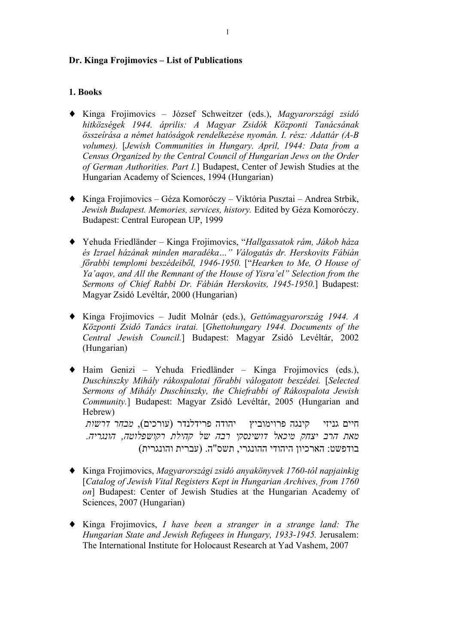#### **Dr. Kinga Frojimovics – List of Publications**

#### **1. Books**

- ♦ Kinga Frojimovics József Schweitzer (eds.), *Magyarországi zsidó hitközségek 1944. április: A Magyar Zsidók Központi Tanácsának összeírása a német hatóságok rendelkezése nyomán. I. rész: Adattár (A-B volumes).* [*Jewish Communities in Hungary. April, 1944: Data from a Census Organized by the Central Council of Hungarian Jews on the Order of German Authorities. Part I.*] Budapest, Center of Jewish Studies at the Hungarian Academy of Sciences, 1994 (Hungarian)
- ♦ Kinga Frojimovics Géza Komoróczy Viktória Pusztai Andrea Strbik, *Jewish Budapest. Memories, services, history.* Edited by Géza Komoróczy. Budapest: Central European UP, 1999
- ♦ Yehuda Friedländer Kinga Frojimovics, "*Hallgassatok rám, Jákob háza és Izrael házának minden maradéka…" Válogatás dr. Herskovits Fábián főrabbi templomi beszédeiből, 1946-1950.* ["*Hearken to Me, O House of Ya'aqov, and All the Remnant of the House of Yisra'el" Selection from the Sermons of Chief Rabbi Dr. Fábián Herskovits, 1945-1950.*] Budapest: Magyar Zsidó Levéltár, 2000 (Hungarian)
- ♦ Kinga Frojimovics Judit Molnár (eds.), *Gettómagyarország 1944. A Központi Zsidó Tanács iratai.* [*Ghettohungary 1944. Documents of the Central Jewish Council.*] Budapest: Magyar Zsidó Levéltár, 2002 (Hungarian)
- ♦ Haim Genizi Yehuda Friedländer Kinga Frojimovics (eds.), *Duschinszky Mihály rákospalotai főrabbi válogatott beszédei.* [*Selected Sermons of Mihály Duschinszky, the Chiefrabbi of Rákospalota Jewish Community.*] Budapest: Magyar Zsidó Levéltár, 2005 (Hungarian and Hebrew) חיים גניזי קינגה פרוימוביץ יהודה פרידלנדר (עורכים), *מבחר דרשות* – –

*מאת הרב יצחק מיכאל דושינסקי רבה של קהילת רקושפלוטה, הונגריה.* בודפשט: הארכיון היהודי ההונגרי, תשס"ה. (עברית והונגרית)

- ♦ Kinga Frojimovics, *Magyarországi zsidó anyakönyvek 1760-tól napjainkig* [*Catalog of Jewish Vital Registers Kept in Hungarian Archives, from 1760 on*] Budapest: Center of Jewish Studies at the Hungarian Academy of Sciences, 2007 (Hungarian)
- ♦ Kinga Frojimovics, *I have been a stranger in a strange land: The Hungarian State and Jewish Refugees in Hungary, 1933-1945.* Jerusalem: The International Institute for Holocaust Research at Yad Vashem, 2007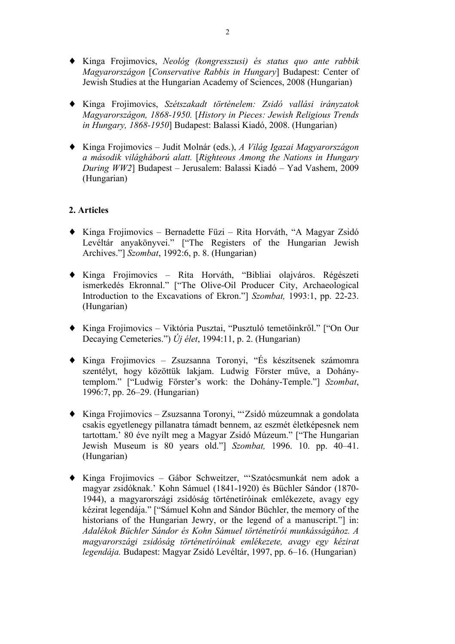- ♦ Kinga Frojimovics, *Neológ (kongresszusi) és status quo ante rabbik Magyarországon* [*Conservative Rabbis in Hungary*] Budapest: Center of Jewish Studies at the Hungarian Academy of Sciences, 2008 (Hungarian)
- ♦ Kinga Frojimovics, *Szétszakadt történelem: Zsidó vallási irányzatok Magyarországon, 1868-1950.* [*History in Pieces: Jewish Religious Trends in Hungary, 1868-1950*] Budapest: Balassi Kiadó, 2008. (Hungarian)
- ♦ Kinga Frojimovics Judit Molnár (eds.), *A Világ Igazai Magyarországon a második világháború alatt.* [*Righteous Among the Nations in Hungary During WW2*] Budapest – Jerusalem: Balassi Kiadó – Yad Vashem, 2009 (Hungarian)

## **2. Articles**

- ♦ Kinga Frojimovics Bernadette Füzi Rita Horváth, "A Magyar Zsidó Levéltár anyakönyvei." ["The Registers of the Hungarian Jewish Archives."] *Szombat*, 1992:6, p. 8. (Hungarian)
- ♦ Kinga Frojimovics Rita Horváth, "Bibliai olajváros. Régészeti ismerkedés Ekronnal." ["The Olive-Oil Producer City, Archaeological Introduction to the Excavations of Ekron."] *Szombat,* 1993:1, pp. 22-23. (Hungarian)
- ♦ Kinga Frojimovics Viktória Pusztai, "Pusztuló temetőinkről." ["On Our Decaying Cemeteries.") *Új élet*, 1994:11, p. 2. (Hungarian)
- ♦ Kinga Frojimovics Zsuzsanna Toronyi, "És készítsenek számomra szentélyt, hogy közöttük lakjam. Ludwig Förster műve, a Dohánytemplom." ["Ludwig Förster's work: the Dohány-Temple."] *Szombat*, 1996:7, pp. 26–29. (Hungarian)
- ♦ Kinga Frojimovics Zsuzsanna Toronyi, "'Zsidó múzeumnak a gondolata csakis egyetlenegy pillanatra támadt bennem, az eszmét életképesnek nem tartottam.' 80 éve nyílt meg a Magyar Zsidó Múzeum." ["The Hungarian Jewish Museum is 80 years old."] *Szombat,* 1996. 10. pp. 40–41. (Hungarian)
- ♦ Kinga Frojimovics Gábor Schweitzer, "'Szatócsmunkát nem adok a magyar zsidóknak.' Kohn Sámuel (1841-1920) és Büchler Sándor (1870- 1944), a magyarországi zsidóság történetíróinak emlékezete, avagy egy kézirat legendája." ["Sámuel Kohn and Sándor Büchler, the memory of the historians of the Hungarian Jewry, or the legend of a manuscript." in: *Adalékok Büchler Sándor és Kohn Sámuel történetírói munkásságához. A magyarországi zsidóság történetíróinak emlékezete, avagy egy kézirat legendája.* Budapest: Magyar Zsidó Levéltár, 1997, pp. 6–16. (Hungarian)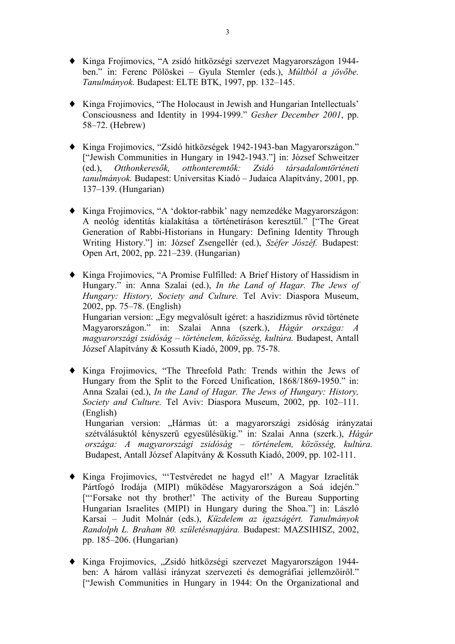- ♦ Kinga Frojimovics, "A zsidó hitközségi szervezet Magyarországon 1944 ben." in: Ferenc Pölöskei – Gyula Stemler (eds.), *Múltból a jövőbe. Tanulmányok.* Budapest: ELTE BTK, 1997, pp. 132–145.
- ♦ Kinga Frojimovics, "The Holocaust in Jewish and Hungarian Intellectuals' Consciousness and Identity in 1994-1999." *Gesher December 2001*, pp. 58–72. (Hebrew)
- ♦ Kinga Frojimovics, "Zsidó hitközségek 1942-1943-ban Magyarországon." ["Jewish Communities in Hungary in 1942-1943."] in: József Schweitzer (ed.), *Otthonkeresők, otthonteremtők: Zsidó társadalomtörténeti tanulmányok.* Budapest: Universitas Kiadó – Judaica Alapítvány, 2001, pp. 137–139. (Hungarian)
- ♦ Kinga Frojimovics, "A 'doktor-rabbik' nagy nemzedéke Magyarországon: A neológ identitás kialakítása a történetíráson keresztül." ["The Great Generation of Rabbi-Historians in Hungary: Defining Identity Through Writing History."] in: József Zsengellér (ed.), *Széfer Jószéf.* Budapest: Open Art, 2002, pp. 221–239. (Hungarian)
- ♦ Kinga Frojimovics, "A Promise Fulfilled: A Brief History of Hassidism in Hungary." in: Anna Szalai (ed.), *In the Land of Hagar. The Jews of Hungary: History, Society and Culture.* Tel Aviv: Diaspora Museum, 2002, pp. 75–78. (English) Hungarian version: "Egy megvalósult ígéret: a haszidizmus rövid története Magyarországon." in: Szalai Anna (szerk.), *Hágár országa: A magyarországi zsidóság – történelem, közösség, kultúra.* Budapest, Antall József Alapítvány & Kossuth Kiadó, 2009, pp. 75-78.
- ♦ Kinga Frojimovics, "The Threefold Path: Trends within the Jews of Hungary from the Split to the Forced Unification, 1868/1869-1950." in: Anna Szalai (ed.), *In the Land of Hagar. The Jews of Hungary: History, Society and Culture.* Tel Aviv: Diaspora Museum, 2002, pp. 102–111. (English) Hungarian version: "Hármas út: a magyarországi zsidóság irányzatai

szétválásuktól kényszerű egyesülésükig." in: Szalai Anna (szerk.), *Hágár országa: A magyarországi zsidóság – történelem, közösség, kultúra.* Budapest, Antall József Alapítvány & Kossuth Kiadó, 2009, pp. 102-111.

- ♦ Kinga Frojimovics, "'Testvéredet ne hagyd el!' A Magyar Izraeliták Pártfogó Irodája (MIPI) működése Magyarországon a Soá idején." ["'Forsake not thy brother!' The activity of the Bureau Supporting Hungarian Israelites (MIPI) in Hungary during the Shoa."] in: László Karsai – Judit Molnár (eds.), *Küzdelem az igazságért. Tanulmányok Randolph L. Braham 80. születésnapjára.* Budapest: MAZSIHISZ, 2002, pp. 185–206. (Hungarian)
- ◆ Kinga Frojimovics, "Zsidó hitközségi szervezet Magyarországon 1944ben: A három vallási irányzat szervezeti és demográfiai jellemzőiről." ["Jewish Communities in Hungary in 1944: On the Organizational and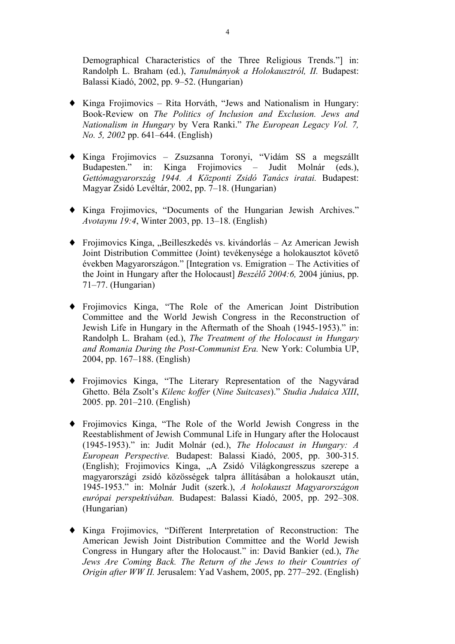Demographical Characteristics of the Three Religious Trends."] in: Randolph L. Braham (ed.), *Tanulmányok a Holokausztról, II.* Budapest: Balassi Kiadó, 2002, pp. 9–52. (Hungarian)

- ♦ Kinga Frojimovics Rita Horváth, "Jews and Nationalism in Hungary: Book-Review on *The Politics of Inclusion and Exclusion. Jews and Nationalism in Hungary* by Vera Ranki." *The European Legacy Vol. 7, No. 5, 2002* pp. 641–644. (English)
- ♦ Kinga Frojimovics Zsuzsanna Toronyi, "Vidám SS a megszállt Budapesten." in: Kinga Frojimovics – Judit Molnár (eds.), *Gettómagyarország 1944. A Központi Zsidó Tanács iratai.* Budapest: Magyar Zsidó Levéltár, 2002, pp. 7–18. (Hungarian)
- ♦ Kinga Frojimovics, "Documents of the Hungarian Jewish Archives." *Avotaynu 19:4*, Winter 2003, pp. 13–18. (English)
- $\blacklozenge$  Frojimovics Kinga, "Beilleszkedés vs. kivándorlás Az American Jewish Joint Distribution Committee (Joint) tevékenysége a holokausztot követő években Magyarországon." [Integration vs. Emigration – The Activities of the Joint in Hungary after the Holocaust] *Beszélő 2004:6,* 2004 június, pp. 71–77. (Hungarian)
- ♦ Frojimovics Kinga, "The Role of the American Joint Distribution Committee and the World Jewish Congress in the Reconstruction of Jewish Life in Hungary in the Aftermath of the Shoah (1945-1953)." in: Randolph L. Braham (ed.), *The Treatment of the Holocaust in Hungary and Romania During the Post-Communist Era.* New York: Columbia UP, 2004, pp. 167–188. (English)
- ♦ Frojimovics Kinga, "The Literary Representation of the Nagyvárad Ghetto. Béla Zsolt's *Kilenc koffer* (*Nine Suitcases*)." *Studia Judaica XIII*, 2005. pp. 201–210. (English)
- ♦ Frojimovics Kinga, "The Role of the World Jewish Congress in the Reestablishment of Jewish Communal Life in Hungary after the Holocaust (1945-1953)." in: Judit Molnár (ed.), *The Holocaust in Hungary: A European Perspective.* Budapest: Balassi Kiadó, 2005, pp. 300-315. (English); Frojimovics Kinga, "A Zsidó Világkongresszus szerepe a magyarországi zsidó közösségek talpra állításában a holokauszt után, 1945-1953." in: Molnár Judit (szerk.), *A holokauszt Magyarországon európai perspektívában.* Budapest: Balassi Kiadó, 2005, pp. 292–308. (Hungarian)
- ♦ Kinga Frojimovics, "Different Interpretation of Reconstruction: The American Jewish Joint Distribution Committee and the World Jewish Congress in Hungary after the Holocaust." in: David Bankier (ed.), *The Jews Are Coming Back. The Return of the Jews to their Countries of Origin after WW II.* Jerusalem: Yad Vashem, 2005, pp. 277–292. (English)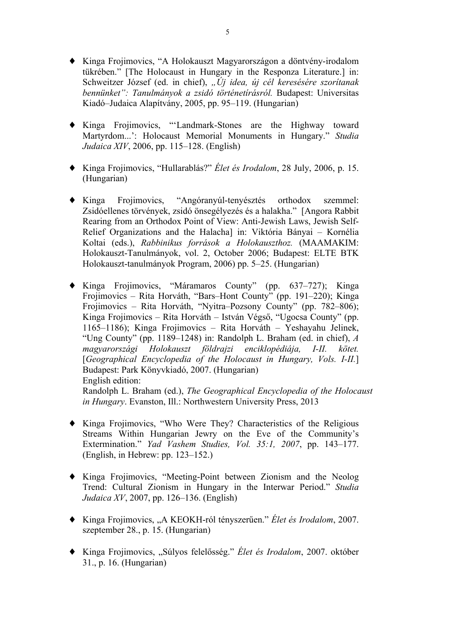- ♦ Kinga Frojimovics, "A Holokauszt Magyarországon a döntvény-irodalom tükrében." [The Holocaust in Hungary in the Responza Literature.] in: Schweitzer József (ed. in chief), "Új idea, új cél keresésére szorítanak *bennünket": Tanulmányok a zsidó történetírásról.* Budapest: Universitas Kiadó–Judaica Alapítvány, 2005, pp. 95–119. (Hungarian)
- ♦ Kinga Frojimovics, "'Landmark-Stones are the Highway toward Martyrdom...': Holocaust Memorial Monuments in Hungary." *Studia Judaica XIV*, 2006, pp. 115–128. (English)
- ♦ Kinga Frojimovics, "Hullarablás?" *Élet és Irodalom*, 28 July, 2006, p. 15. (Hungarian)
- ♦ Kinga Frojimovics, "Angóranyúl-tenyésztés orthodox szemmel: Zsidóellenes törvények, zsidó önsegélyezés és a halakha." [Angora Rabbit Rearing from an Orthodox Point of View: Anti-Jewish Laws, Jewish Self-Relief Organizations and the Halacha] in: Viktória Bányai – Kornélia Koltai (eds.), *Rabbinikus források a Holokauszthoz.* (MAAMAKIM: Holokauszt-Tanulmányok, vol. 2, October 2006; Budapest: ELTE BTK Holokauszt-tanulmányok Program, 2006) pp. 5–25. (Hungarian)
- ♦ Kinga Frojimovics, "Máramaros County" (pp. 637–727); Kinga Frojimovics – Rita Horváth, "Bars–Hont County" (pp. 191–220); Kinga Frojimovics – Rita Horváth, "Nyitra–Pozsony County" (pp. 782–806); Kinga Frojimovics – Rita Horváth – István Végső, "Ugocsa County" (pp. 1165–1186); Kinga Frojimovics – Rita Horváth – Yeshayahu Jelinek, "Ung County" (pp. 1189–1248) in: Randolph L. Braham (ed. in chief), *A magyarországi Holokauszt földrajzi enciklopédiája, I-II. kötet.* [*Geographical Encyclopedia of the Holocaust in Hungary, Vols. I-II.*] Budapest: Park Könyvkiadó, 2007. (Hungarian) English edition: Randolph L. Braham (ed.), *The Geographical Encyclopedia of the Holocaust in Hungary*. Evanston, Ill.: Northwestern University Press, 2013
- ♦ Kinga Frojimovics, "Who Were They? Characteristics of the Religious Streams Within Hungarian Jewry on the Eve of the Community's Extermination." *Yad Vashem Studies, Vol. 35:1, 2007*, pp. 143–177. (English, in Hebrew: pp. 123–152.)
- ♦ Kinga Frojimovics, "Meeting-Point between Zionism and the Neolog Trend: Cultural Zionism in Hungary in the Interwar Period." *Studia Judaica XV*, 2007, pp. 126–136. (English)
- ♦ Kinga Frojimovics, "A KEOKH-ról tényszerűen." *Élet és Irodalom*, 2007. szeptember 28., p. 15. (Hungarian)
- ◆ Kinga Frojimovics, "Súlyos felelősség." *Élet és Irodalom*, 2007. október 31., p. 16. (Hungarian)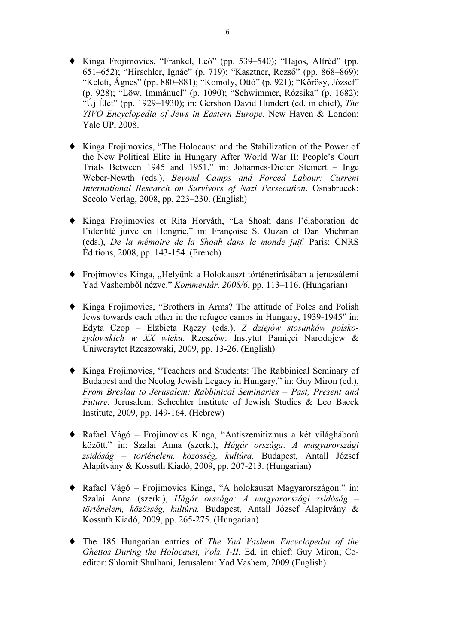- ♦ Kinga Frojimovics, "Frankel, Leó" (pp. 539–540); "Hajós, Alfréd" (pp. 651–652); "Hirschler, Ignác" (p. 719); "Kasztner, Rezső" (pp. 868–869); "Keleti, Ágnes" (pp. 880–881); "Komoly, Ottó" (p. 921); "Kőrösy, József" (p. 928); "Löw, Immánuel" (p. 1090); "Schwimmer, Rózsika" (p. 1682); "Új Élet" (pp. 1929–1930); in: Gershon David Hundert (ed. in chief), *The YIVO Encyclopedia of Jews in Eastern Europe.* New Haven & London: Yale UP, 2008.
- ♦ Kinga Frojimovics, "The Holocaust and the Stabilization of the Power of the New Political Elite in Hungary After World War II: People's Court Trials Between 1945 and 1951," in: Johannes-Dieter Steinert – Inge Weber-Newth (eds.), *Beyond Camps and Forced Labour: Current International Research on Survivors of Nazi Persecution*. Osnabrueck: Secolo Verlag, 2008, pp. 223–230. (English)
- Kinga Frojimovics et Rita Horváth, "La Shoah dans l'élaboration de l'identité juive en Hongrie," in: Françoise S. Ouzan et Dan Michman (eds.), *De la mémoire de la Shoah dans le monde juif.* Paris: CNRS Éditions, 2008, pp. 143-154. (French)
- ◆ Frojimovics Kinga, "Helyünk a Holokauszt történetírásában a jeruzsálemi Yad Vashemből nézve." *Kommentár, 2008/6*, pp. 113–116. (Hungarian)
- ♦ Kinga Frojimovics, "Brothers in Arms? The attitude of Poles and Polish Jews towards each other in the refugee camps in Hungary, 1939-1945" in: Edyta Czop – Elżbieta Rączy (eds.), *Z dziejów stosunków polskożydowskich w XX wieku.* Rzeszów: Instytut Pamięci Narodojew & Uniwersytet Rzeszowski, 2009, pp. 13-26. (English)
- ♦ Kinga Frojimovics, "Teachers and Students: The Rabbinical Seminary of Budapest and the Neolog Jewish Legacy in Hungary," in: Guy Miron (ed.), *From Breslau to Jerusalem: Rabbinical Seminaries – Past, Present and Future.* Jerusalem: Schechter Institute of Jewish Studies & Leo Baeck Institute, 2009, pp. 149-164. (Hebrew)
- ♦ Rafael Vágó Frojimovics Kinga, "Antiszemitizmus a két világháború között." in: Szalai Anna (szerk.), *Hágár országa: A magyarországi zsidóság – történelem, közösség, kultúra.* Budapest, Antall József Alapítvány & Kossuth Kiadó, 2009, pp. 207-213. (Hungarian)
- ♦ Rafael Vágó Frojimovics Kinga, "A holokauszt Magyarországon." in: Szalai Anna (szerk.), *Hágár országa: A magyarországi zsidóság – történelem, közösség, kultúra.* Budapest, Antall József Alapítvány & Kossuth Kiadó, 2009, pp. 265-275. (Hungarian)
- ♦ The 185 Hungarian entries of *The Yad Vashem Encyclopedia of the Ghettos During the Holocaust, Vols. I-II.* Ed. in chief: Guy Miron; Coeditor: Shlomit Shulhani, Jerusalem: Yad Vashem, 2009 (English)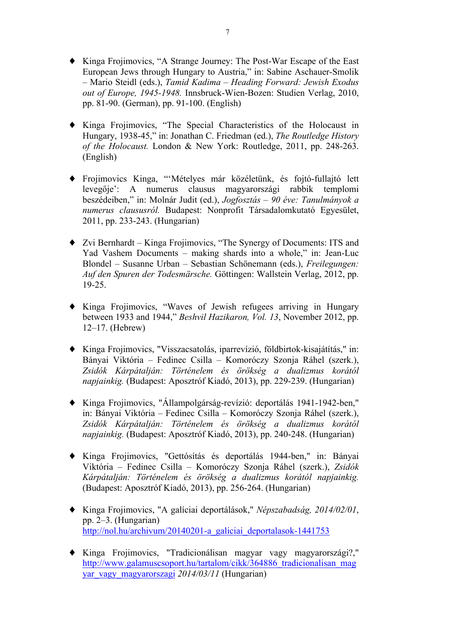- ♦ Kinga Frojimovics, "A Strange Journey: The Post-War Escape of the East European Jews through Hungary to Austria," in: Sabine Aschauer-Smolik – Mario Steidl (eds.), *Tamid Kadima – Heading Forward: Jewish Exodus out of Europe, 1945-1948.* Innsbruck-Wien-Bozen: Studien Verlag, 2010, pp. 81-90. (German), pp. 91-100. (English)
- ♦ Kinga Frojimovics, "The Special Characteristics of the Holocaust in Hungary, 1938-45," in: Jonathan C. Friedman (ed.), *The Routledge History of the Holocaust.* London & New York: Routledge, 2011, pp. 248-263. (English)
- ♦ Frojimovics Kinga, "'Mételyes már közéletünk, és fojtó-fullajtó lett levegője': A numerus clausus magyarországi rabbik templomi beszédeiben," in: Molnár Judit (ed.), *Jogfosztás – 90 éve: Tanulmányok a numerus claususról.* Budapest: Nonprofit Társadalomkutató Egyesület, 2011, pp. 233-243. (Hungarian)
- ♦ Zvi Bernhardt Kinga Frojimovics, "The Synergy of Documents: ITS and Yad Vashem Documents – making shards into a whole," in: Jean-Luc Blondel – Susanne Urban – Sebastian Schönemann (eds.), *Freilegungen: Auf den Spuren der Todesmärsche.* Göttingen: Wallstein Verlag, 2012, pp. 19-25.
- ♦ Kinga Frojimovics, "Waves of Jewish refugees arriving in Hungary between 1933 and 1944," *Beshvil Hazikaron, Vol. 13*, November 2012, pp. 12–17. (Hebrew)
- ♦ Kinga Frojimovics, "Visszacsatolás, iparrevízió, földbirtok-kisajátítás," in: Bányai Viktória – Fedinec Csilla – Komoróczy Szonja Ráhel (szerk.), *Zsidók Kárpátalján: Történelem és örökség a dualizmus korától napjainkig.* (Budapest: Aposztróf Kiadó, 2013), pp. 229-239. (Hungarian)
- ♦ Kinga Frojimovics, "Állampolgárság-revízió: deportálás 1941-1942-ben," in: Bányai Viktória – Fedinec Csilla – Komoróczy Szonja Ráhel (szerk.), *Zsidók Kárpátalján: Történelem és örökség a dualizmus korától napjainkig.* (Budapest: Aposztróf Kiadó, 2013), pp. 240-248. (Hungarian)
- ♦ Kinga Frojimovics, "Gettósítás és deportálás 1944-ben," in: Bányai Viktória – Fedinec Csilla – Komoróczy Szonja Ráhel (szerk.), *Zsidók Kárpátalján: Történelem és örökség a dualizmus korától napjainkig.* (Budapest: Aposztróf Kiadó, 2013), pp. 256-264. (Hungarian)
- ♦ Kinga Frojimovics, "A galíciai deportálások," *Népszabadság, 2014/02/01*, pp. 2–3. (Hungarian) http://nol.hu/archivum/20140201-a\_galiciai\_deportalasok-1441753
- ♦ Kinga Frojimovics, "Tradicionálisan magyar vagy magyarországi?," http://www.galamuscsoport.hu/tartalom/cikk/364886\_tradicionalisan\_mag yar\_vagy\_magyarorszagi *2014/03/11* (Hungarian)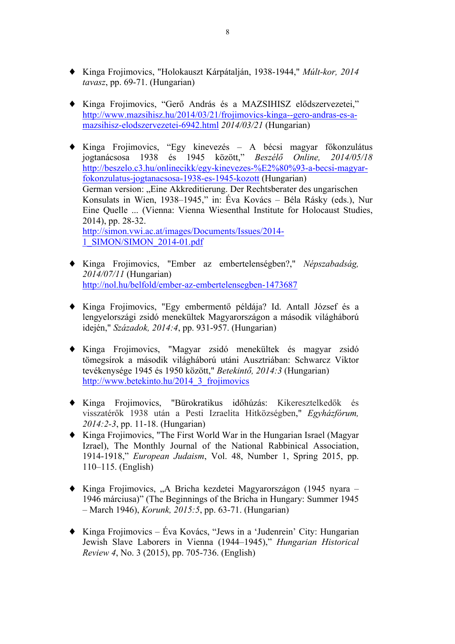- ♦ Kinga Frojimovics, "Holokauszt Kárpátalján, 1938-1944," *Múlt-kor, 2014 tavasz*, pp. 69-71. (Hungarian)
- ♦ Kinga Frojimovics, "Gerő András és a MAZSIHISZ elődszervezetei," http://www.mazsihisz.hu/2014/03/21/frojimovics-kinga--gero-andras-es-amazsihisz-elodszervezetei-6942.html *2014/03/21* (Hungarian)
- ♦ Kinga Frojimovics, "Egy kinevezés A bécsi magyar főkonzulátus jogtanácsosa 1938 és 1945 között," *Beszélő Online, 2014/05/18* http://beszelo.c3.hu/onlinecikk/egy-kinevezes-%E2%80%93-a-becsi-magyarfokonzulatus-jogtanacsosa-1938-es-1945-kozott (Hungarian) German version: "Eine Akkreditierung. Der Rechtsberater des ungarischen Konsulats in Wien, 1938–1945," in: Éva Kovács – Béla Rásky (eds.), Nur Eine Quelle ... (Vienna: Vienna Wiesenthal Institute for Holocaust Studies, 2014), pp. 28-32. http://simon.vwi.ac.at/images/Documents/Issues/2014- 1\_SIMON/SIMON\_2014-01.pdf
- ♦ Kinga Frojimovics, "Ember az embertelenségben?," *Népszabadság, 2014/07/11* (Hungarian) http://nol.hu/belfold/ember-az-embertelensegben-1473687
- ♦ Kinga Frojimovics, "Egy embermentő példája? Id. Antall József és a lengyelországi zsidó menekültek Magyarországon a második világháború idején," *Századok, 2014:4*, pp. 931-957. (Hungarian)
- ♦ Kinga Frojimovics, "Magyar zsidó menekültek és magyar zsidó tömegsírok a második világháború utáni Ausztriában: Schwarcz Viktor tevékenysége 1945 és 1950 között," *Betekintő, 2014:3* (Hungarian) http://www.betekinto.hu/2014\_3\_frojimovics
- ♦ Kinga Frojimovics, "Bürokratikus időhúzás: Kikeresztelkedők és visszatérők 1938 után a Pesti Izraelita Hitközségben," *Egyházfórum, 2014:2-3*, pp. 11-18. (Hungarian)
- ♦ Kinga Frojimovics, "The First World War in the Hungarian Israel (Magyar Izrael), The Monthly Journal of the National Rabbinical Association, 1914-1918," *European Judaism*, Vol. 48, Number 1, Spring 2015, pp. 110–115. (English)
- ♦ Kinga Frojimovics, "A Bricha kezdetei Magyarországon (1945 nyara 1946 márciusa)" (The Beginnings of the Bricha in Hungary: Summer 1945 – March 1946), *Korunk, 2015:5*, pp. 63-71. (Hungarian)
- ♦ Kinga Frojimovics Éva Kovács, "Jews in a 'Judenrein' City: Hungarian Jewish Slave Laborers in Vienna (1944–1945)," *Hungarian Historical Review 4*, No. 3 (2015), pp. 705-736. (English)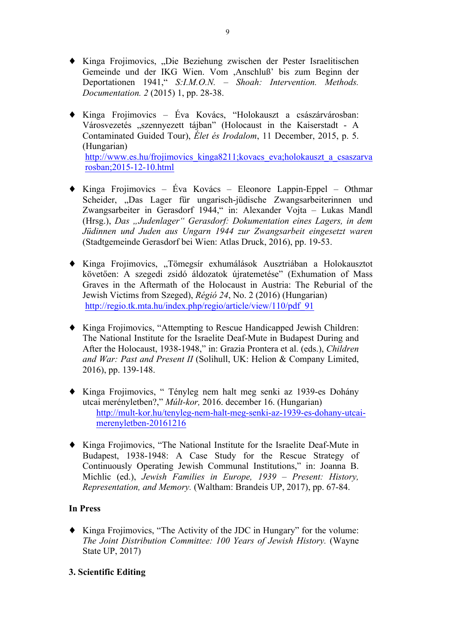- ♦ Kinga Frojimovics, "Die Beziehung zwischen der Pester Israelitischen Gemeinde und der IKG Wien. Vom ,Anschluß' bis zum Beginn der Deportationen 1941," *S:I.M.O.N. – Shoah: Intervention. Methods. Documentation. 2* (2015) 1, pp. 28-38.
- ♦ Kinga Frojimovics Éva Kovács, "Holokauszt a császárvárosban: Városvezetés "szennyezett tájban" (Holocaust in the Kaiserstadt - A Contaminated Guided Tour), *Élet és Irodalom*, 11 December, 2015, p. 5. (Hungarian) http://www.es.hu/frojimovics\_kinga8211;kovacs\_eva;holokauszt\_a\_csaszarva rosban;2015-12-10.html
- ♦ Kinga Frojimovics Éva Kovács Eleonore Lappin-Eppel Othmar Scheider, "Das Lager für ungarisch-jüdische Zwangsarbeiterinnen und Zwangsarbeiter in Gerasdorf 1944," in: Alexander Vojta – Lukas Mandl (Hrsg.), *Das "Judenlager" Gerasdorf: Dokumentation eines Lagers, in dem Jüdinnen und Juden aus Ungarn 1944 zur Zwangsarbeit eingesetzt waren* (Stadtgemeinde Gerasdorf bei Wien: Atlas Druck, 2016), pp. 19-53.
- ◆ Kinga Frojimovics, "Tömegsír exhumálások Ausztriában a Holokausztot követően: A szegedi zsidó áldozatok újratemetése" (Exhumation of Mass Graves in the Aftermath of the Holocaust in Austria: The Reburial of the Jewish Victims from Szeged), *Régió 24*, No. 2 (2016) (Hungarian) http://regio.tk.mta.hu/index.php/regio/article/view/110/pdf\_91
- ♦ Kinga Frojimovics, "Attempting to Rescue Handicapped Jewish Children: The National Institute for the Israelite Deaf-Mute in Budapest During and After the Holocaust, 1938-1948," in: Grazia Prontera et al. (eds.), *Children and War: Past and Present II* (Solihull, UK: Helion & Company Limited, 2016), pp. 139-148.
- ♦ Kinga Frojimovics, " Tényleg nem halt meg senki az 1939-es Dohány utcai merényletben?," *Múlt-kor,* 2016. december 16. (Hungarian) http://mult-kor.hu/tenyleg-nem-halt-meg-senki-az-1939-es-dohany-utcaimerenyletben-20161216
- ♦ Kinga Frojimovics, "The National Institute for the Israelite Deaf-Mute in Budapest, 1938-1948: A Case Study for the Rescue Strategy of Continuously Operating Jewish Communal Institutions," in: Joanna B. Michlic (ed.), *Jewish Families in Europe, 1939 – Present: History, Representation, and Memory.* (Waltham: Brandeis UP, 2017), pp. 67-84.

# **In Press**

♦ Kinga Frojimovics, "The Activity of the JDC in Hungary" for the volume: *The Joint Distribution Committee: 100 Years of Jewish History.* (Wayne State UP, 2017)

# **3. Scientific Editing**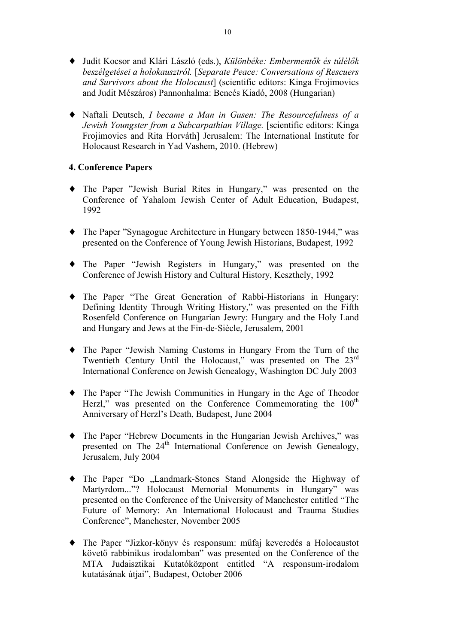- ♦ Judit Kocsor and Klári László (eds.), *Különbéke: Embermentők és túlélők beszélgetései a holokausztról.* [*Separate Peace: Conversations of Rescuers and Survivors about the Holocaust*] (scientific editors: Kinga Frojimovics and Judit Mészáros) Pannonhalma: Bencés Kiadó, 2008 (Hungarian)
- ♦ Naftali Deutsch, *I became a Man in Gusen: The Resourcefulness of a Jewish Youngster from a Subcarpathian Village.* [scientific editors: Kinga Frojimovics and Rita Horváth] Jerusalem: The International Institute for Holocaust Research in Yad Vashem, 2010. (Hebrew)

## **4. Conference Papers**

- ♦ The Paper "Jewish Burial Rites in Hungary," was presented on the Conference of Yahalom Jewish Center of Adult Education, Budapest, 1992
- ♦ The Paper "Synagogue Architecture in Hungary between 1850-1944," was presented on the Conference of Young Jewish Historians, Budapest, 1992
- ♦ The Paper "Jewish Registers in Hungary," was presented on the Conference of Jewish History and Cultural History, Keszthely, 1992
- ♦ The Paper "The Great Generation of Rabbi-Historians in Hungary: Defining Identity Through Writing History," was presented on the Fifth Rosenfeld Conference on Hungarian Jewry: Hungary and the Holy Land and Hungary and Jews at the Fin-de-Siècle, Jerusalem, 2001
- ♦ The Paper "Jewish Naming Customs in Hungary From the Turn of the Twentieth Century Until the Holocaust," was presented on The 23<sup>rd</sup> International Conference on Jewish Genealogy, Washington DC July 2003
- ♦ The Paper "The Jewish Communities in Hungary in the Age of Theodor Herzl," was presented on the Conference Commemorating the  $100<sup>th</sup>$ Anniversary of Herzl's Death, Budapest, June 2004
- ♦ The Paper "Hebrew Documents in the Hungarian Jewish Archives," was presented on The 24<sup>th</sup> International Conference on Jewish Genealogy, Jerusalem, July 2004
- The Paper "Do "Landmark-Stones Stand Alongside the Highway of Martyrdom..."? Holocaust Memorial Monuments in Hungary" was presented on the Conference of the University of Manchester entitled "The Future of Memory: An International Holocaust and Trauma Studies Conference", Manchester, November 2005
- ♦ The Paper "Jizkor-könyv és responsum: műfaj keveredés a Holocaustot követő rabbinikus irodalomban" was presented on the Conference of the MTA Judaisztikai Kutatóközpont entitled "A responsum-irodalom kutatásának útjai", Budapest, October 2006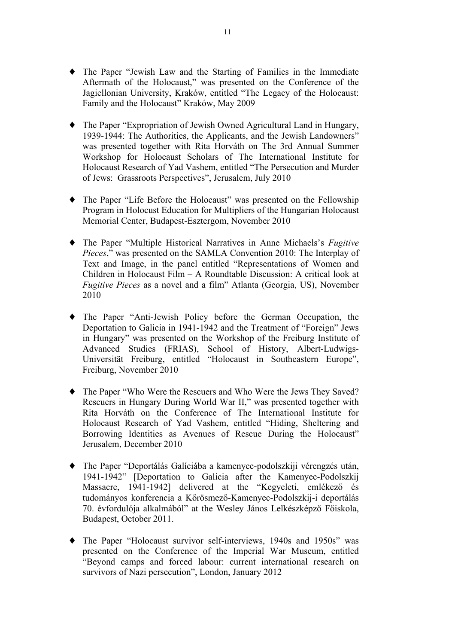- ♦ The Paper "Jewish Law and the Starting of Families in the Immediate Aftermath of the Holocaust," was presented on the Conference of the Jagiellonian University, Kraków, entitled "The Legacy of the Holocaust: Family and the Holocaust" Kraków, May 2009
- ♦ The Paper "Expropriation of Jewish Owned Agricultural Land in Hungary, 1939-1944: The Authorities, the Applicants, and the Jewish Landowners" was presented together with Rita Horváth on The 3rd Annual Summer Workshop for Holocaust Scholars of The International Institute for Holocaust Research of Yad Vashem, entitled "The Persecution and Murder of Jews: Grassroots Perspectives", Jerusalem, July 2010
- ♦ The Paper "Life Before the Holocaust" was presented on the Fellowship Program in Holocust Education for Multipliers of the Hungarian Holocaust Memorial Center, Budapest-Esztergom, November 2010
- ♦ The Paper "Multiple Historical Narratives in Anne Michaels's *Fugitive Pieces*," was presented on the SAMLA Convention 2010: The Interplay of Text and Image, in the panel entitled "Representations of Women and Children in Holocaust Film – A Roundtable Discussion: A critical look at *Fugitive Pieces* as a novel and a film" Atlanta (Georgia, US), November 2010
- ♦ The Paper "Anti-Jewish Policy before the German Occupation, the Deportation to Galicia in 1941-1942 and the Treatment of "Foreign" Jews in Hungary" was presented on the Workshop of the Freiburg Institute of Advanced Studies (FRIAS), School of History, Albert-Ludwigs-Universität Freiburg, entitled "Holocaust in Southeastern Europe", Freiburg, November 2010
- ♦ The Paper "Who Were the Rescuers and Who Were the Jews They Saved? Rescuers in Hungary During World War II," was presented together with Rita Horváth on the Conference of The International Institute for Holocaust Research of Yad Vashem, entitled "Hiding, Sheltering and Borrowing Identities as Avenues of Rescue During the Holocaust" Jerusalem, December 2010
- ♦ The Paper "Deportálás Galíciába a kamenyec-podolszkiji vérengzés után, 1941-1942" [Deportation to Galicia after the Kamenyec-Podolszkij Massacre, 1941-1942] delivered at the "Kegyeleti, emlékező és tudományos konferencia a Kőrösmező-Kamenyec-Podolszkij-i deportálás 70. évfordulója alkalmából" at the Wesley János Lelkészképző Főiskola, Budapest, October 2011.
- ♦ The Paper "Holocaust survivor self-interviews, 1940s and 1950s" was presented on the Conference of the Imperial War Museum, entitled "Beyond camps and forced labour: current international research on survivors of Nazi persecution", London, January 2012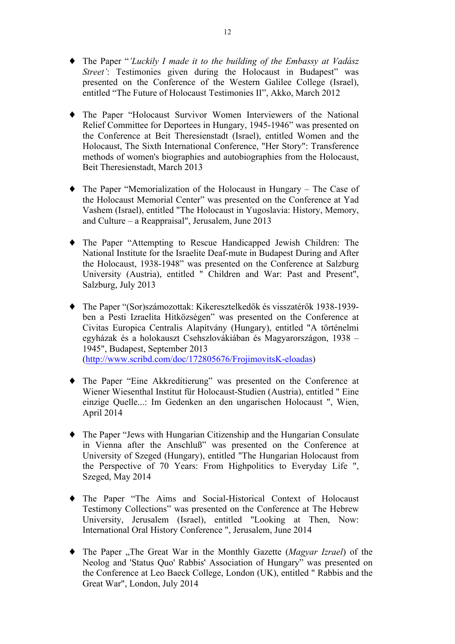- ♦ The Paper "*'Luckily I made it to the building of the Embassy at Vadász Street'*: Testimonies given during the Holocaust in Budapest<sup>"</sup> was presented on the Conference of the Western Galilee College (Israel), entitled "The Future of Holocaust Testimonies II", Akko, March 2012
- ♦ The Paper "Holocaust Survivor Women Interviewers of the National Relief Committee for Deportees in Hungary, 1945-1946" was presented on the Conference at Beit Theresienstadt (Israel), entitled Women and the Holocaust, The Sixth International Conference, "Her Story": Transference methods of women's biographies and autobiographies from the Holocaust, Beit Theresienstadt, March 2013
- ♦ The Paper "Memorialization of the Holocaust in Hungary The Case of the Holocaust Memorial Center" was presented on the Conference at Yad Vashem (Israel), entitled "The Holocaust in Yugoslavia: History, Memory, and Culture – a Reappraisal", Jerusalem, June 2013
- ♦ The Paper "Attempting to Rescue Handicapped Jewish Children: The National Institute for the Israelite Deaf-mute in Budapest During and After the Holocaust, 1938-1948" was presented on the Conference at Salzburg University (Austria), entitled " Children and War: Past and Present", Salzburg, July 2013
- ♦ The Paper "(Sor)számozottak: Kikeresztelkedők és visszatérők 1938-1939 ben a Pesti Izraelita Hitközségen" was presented on the Conference at Civitas Europica Centralis Alapítvány (Hungary), entitled "A történelmi egyházak és a holokauszt Csehszlovákiában és Magyarországon, 1938 – 1945", Budapest, September 2013 (http://www.scribd.com/doc/172805676/FrojimovitsK-eloadas)
- ♦ The Paper "Eine Akkreditierung" was presented on the Conference at Wiener Wiesenthal Institut für Holocaust-Studien (Austria), entitled " Eine einzige Quelle...: Im Gedenken an den ungarischen Holocaust ", Wien, April 2014
- ♦ The Paper "Jews with Hungarian Citizenship and the Hungarian Consulate in Vienna after the Anschluß" was presented on the Conference at University of Szeged (Hungary), entitled "The Hungarian Holocaust from the Perspective of 70 Years: From Highpolitics to Everyday Life ", Szeged, May 2014
- ♦ The Paper "The Aims and Social-Historical Context of Holocaust Testimony Collections" was presented on the Conference at The Hebrew University, Jerusalem (Israel), entitled "Looking at Then, Now: International Oral History Conference ", Jerusalem, June 2014
- The Paper "The Great War in the Monthly Gazette (*Magyar Izrael*) of the Neolog and 'Status Quo' Rabbis' Association of Hungary" was presented on the Conference at Leo Baeck College, London (UK), entitled " Rabbis and the Great War", London, July 2014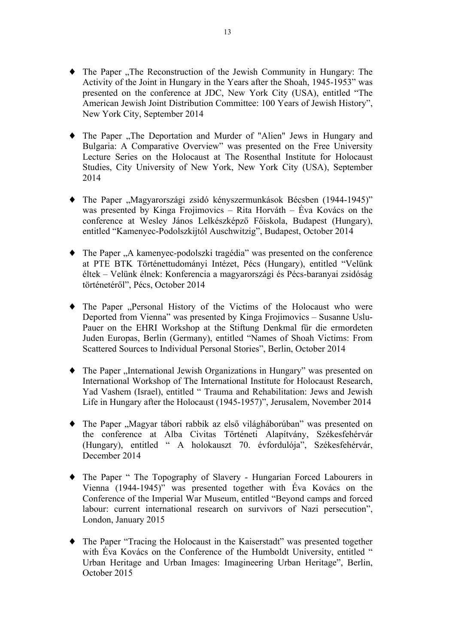- The Paper ..The Reconstruction of the Jewish Community in Hungary: The Activity of the Joint in Hungary in the Years after the Shoah, 1945-1953" was presented on the conference at JDC, New York City (USA), entitled "The American Jewish Joint Distribution Committee: 100 Years of Jewish History", New York City, September 2014
- The Paper "The Deportation and Murder of "Alien" Jews in Hungary and Bulgaria: A Comparative Overview" was presented on the Free University Lecture Series on the Holocaust at The Rosenthal Institute for Holocaust Studies, City University of New York, New York City (USA), September 2014
- The Paper "Magyarországi zsidó kényszermunkások Bécsben (1944-1945)" was presented by Kinga Frojimovics – Rita Horváth – Éva Kovács on the conference at Wesley János Lelkészképző Főiskola, Budapest (Hungary), entitled "Kamenyec-Podolszkijtól Auschwitzig", Budapest, October 2014
- The Paper "A kamenyec-podolszki tragédia" was presented on the conference at PTE BTK Történettudományi Intézet, Pécs (Hungary), entitled "Velünk éltek – Velünk élnek: Konferencia a magyarországi és Pécs-baranyai zsidóság történetéről", Pécs, October 2014
- The Paper "Personal History of the Victims of the Holocaust who were Deported from Vienna" was presented by Kinga Frojimovics – Susanne Uslu-Pauer on the EHRI Workshop at the Stiftung Denkmal für die ermordeten Juden Europas, Berlin (Germany), entitled "Names of Shoah Victims: From Scattered Sources to Individual Personal Stories", Berlin, October 2014
- The Paper "International Jewish Organizations in Hungary" was presented on International Workshop of The International Institute for Holocaust Research, Yad Vashem (Israel), entitled " Trauma and Rehabilitation: Jews and Jewish Life in Hungary after the Holocaust (1945-1957)", Jerusalem, November 2014
- The Paper "Magyar tábori rabbik az első világháborúban" was presented on the conference at Alba Civitas Történeti Alapítvány, Székesfehérvár (Hungary), entitled " A holokauszt 70. évfordulója", Székesfehérvár, December 2014
- ♦ The Paper " The Topography of Slavery Hungarian Forced Labourers in Vienna (1944-1945)" was presented together with Éva Kovács on the Conference of the Imperial War Museum, entitled "Beyond camps and forced labour: current international research on survivors of Nazi persecution", London, January 2015
- ♦ The Paper "Tracing the Holocaust in the Kaiserstadt" was presented together with Éva Kovács on the Conference of the Humboldt University, entitled " Urban Heritage and Urban Images: Imagineering Urban Heritage", Berlin, October 2015